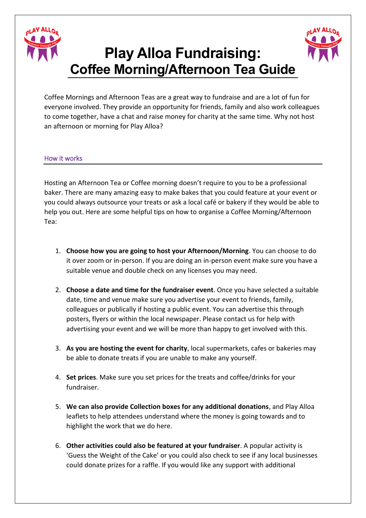

## **Play Alloa Fundraising: Coffee Morning/Afternoon Tea Guide**

Coffee Mornings and Afternoon Teas are a great way to fundraise and are a lot of fun for everyone involved. They provide an opportunity for friends, family and also work colleagues to come together, have a chat and raise money for charity at the same time. Why not host an afternoon or morning for Play Alloa?

## How it works

Hosting an Afternoon Tea or Coffee morning doesn't require to you to be a professional baker. There are many amazing easy to make bakes that you could feature at your event or you could always outsource your treats or ask a local café or bakery if they would be able to help you out. Here are some helpful tips on how to organise a Coffee Morning/Afternoon Tea:

- 1. **Choose how you are going to host your Afternoon/Morning**. You can choose to do it over zoom or in-person. If you are doing an in-person event make sure you have a suitable venue and double check on any licenses you may need.
- 2. **Choose a date and time for the fundraiser event**. Once you have selected a suitable date, time and venue make sure you advertise your event to friends, family, colleagues or publically if hosting a public event. You can advertise this through posters, flyers or within the local newspaper. Please contact us for help with advertising your event and we will be more than happy to get involved with this.
- 3. **As you are hosting the event for charity**, local supermarkets, cafes or bakeries may be able to donate treats if you are unable to make any yourself.
- 4. **Set prices**. Make sure you set prices for the treats and coffee/drinks for your fundraiser.
- 5. **We can also provide Collection boxes for any additional donations**, and Play Alloa leaflets to help attendees understand where the money is going towards and to highlight the work that we do here.
- 6. **Other activities could also be featured at your fundraiser**. A popular activity is 'Guess the Weight of the Cake' or you could also check to see if any local businesses could donate prizes for a raffle. If you would like any support with additional